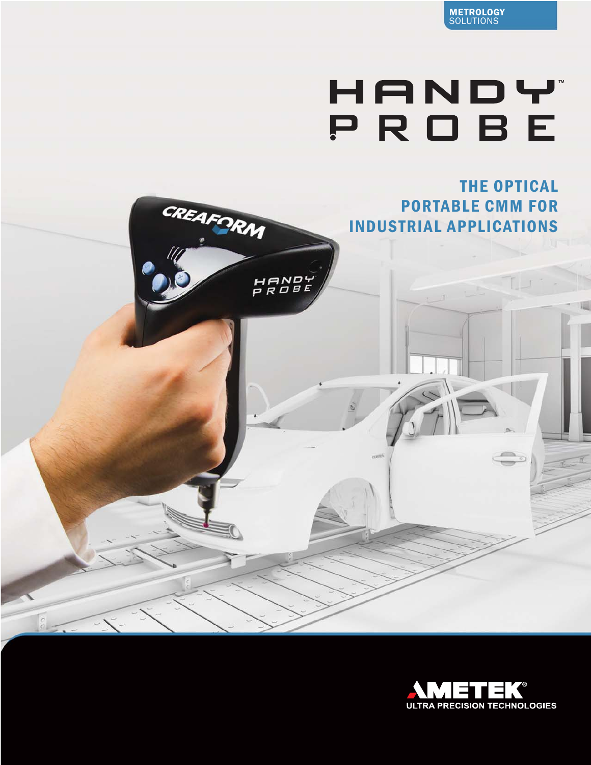

# HANDY PROBE



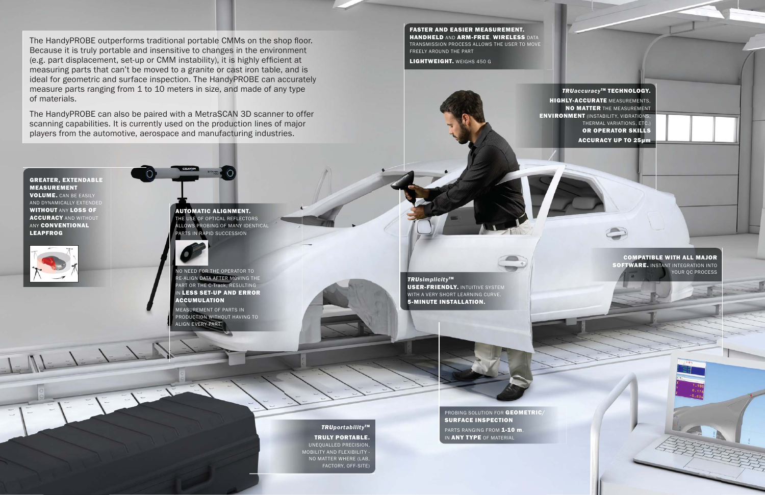The HandyPROBE outperforms traditional portable CMMs on the shop floor. Because it is truly portable and insensitive to changes in the environment (e.g. part displacement, set-up or CMM instability), it is highly efficient at measuring parts that can't be moved to a granite or cast iron table, and is ideal for geometric and surface inspection. The HandyPROBE can accurately measure parts ranging from 1 to 10 meters in size, and made of any type of materials.

# COMPATIBLE WITH ALL MAJOR SOFTWARE. INSTANT INTEGRATION INTO YOUR OC PROCESS

The HandyPROBE can also be paired with a MetraSCAN 3D scanner to offer scanning capabilities. It is currently used on the production lines of major players from the automotive, aerospace and manufacturing industries.

## FASTER AND EASIER MEASUREMENT. HANDHELD AND ARM-FREE. WIRELESS DATA

TRANSMISSION PROCESS ALLOWS THE USER TO MOVE FREELY AROUND THE PART

LIGHTWEIGHT. WEIGHS 450 G

**TRU**accuracy<sup>™</sup> TECHNOLOGY. **HIGHLY-ACCURATE MEASUREMENTS,** NO MATTER THE MEASUREMENT ENVIRONMENT (INSTABILITY, VIBRATIONS, THERMAL VARIATIONS, ETC.) OR OPERATOR SKILLS ACCURACY UP TO 25μm

## *TRUportability* TM

## TRULY PORTABLE.

UNEQUALLED PRECISION, MOBILITY AND FLEXIBILITY - NO MATTER WHERE (LAB, FACTORY, OFF-SITE)

*TRUsimplicity* TM USER-FRIENDLY. INTUITIVE SYSTEM WITH A VERY SHORT LEARNING CURVE. 5-MINUTE INSTALLATION.



AUTOMATIC ALIGNMENT. **HE USE OF OPTICAL REFLECTORS** ALLOWS PROBING OF MANY IDENTICAL PARTS IN RAPID SUCCESSION



NO NEED FOR THE OPERATOR TO RE-ALIGN DATA AFTER MOVING THE PART OR THE C-Track, RESULTING **N LESS SET-UP AND ERROR** ACCUMULATION

MEASUREMENT OF PARTS IN PRODUCTION WITHOUT HAVING TO ALIGN EVERY PART

# GREATER, EXTENDABLE MEASUREMENT

VOLUME. CAN BE EASILY AND DYNAMICALLY EXTENDED WITHOUT ANY LOSS OF **ACCURACY AND WITHOUT ANY CONVENTIONAL** LEAPFROG



PROBING SOLUTION FOR GEOMETRIC/ SURFACE INSPECTION

PARTS RANGING FROM 1-10 m, IN ANY TYPE OF MATERIAL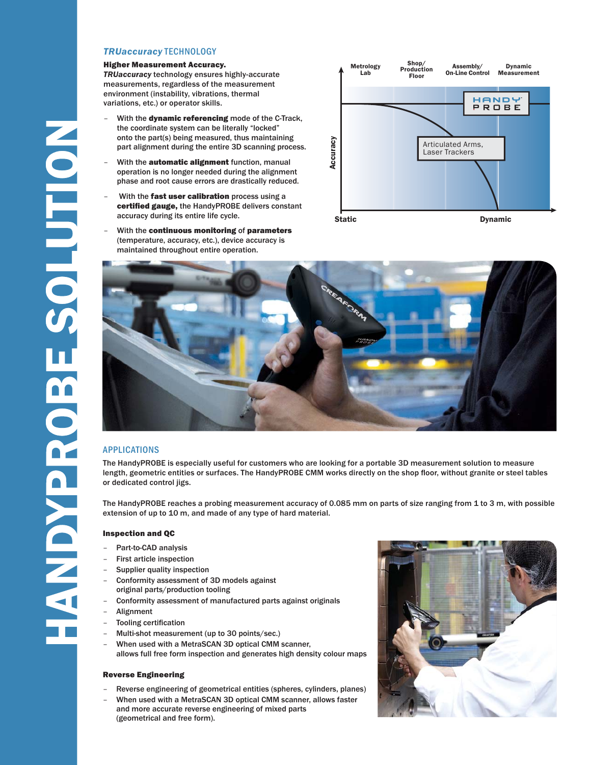#### *TRUaccuracy* TECHNOLOGY

#### Higher Measurement Accuracy.

*TRUaccuracy* technology ensures highly-accurate measurements, regardless of the measurement environment (instability, vibrations, thermal variations, etc.) or operator skills.

- With the dynamic referencing mode of the C-Track, the coordinate system can be literally "locked" onto the part(s) being measured, thus maintaining part alignment during the entire 3D scanning process.
- With the **automatic alignment** function, manual operation is no longer needed during the alignment phase and root cause errors are drastically reduced.
- With the fast user calibration process using a certified gauge, the HandyPROBE delivers constant accuracy during its entire life cycle.
- With the continuous monitoring of parameters (temperature, accuracy, etc.), device accuracy is maintained throughout entire operation.



## APPLICATIONS

NOILUTIOSE SORGNON

The HandyPROBE is especially useful for customers who are looking for a portable 3D measurement solution to measure length, geometric entities or surfaces. The HandyPROBE CMM works directly on the shop floor, without granite or steel tables or dedicated control jigs.

The HandyPROBE reaches a probing measurement accuracy of 0.085 mm on parts of size ranging from 1 to 3 m, with possible extension of up to 10 m, and made of any type of hard material.

#### Inspection and QC

- Part-to-CAD analysis
- First article inspection
- Supplier quality inspection
- Conformity assessment of 3D models against original parts/production tooling
- Conformity assessment of manufactured parts against originals
- **Alignment**
- Tooling certification
- Multi-shot measurement (up to 30 points/sec.)
- When used with a MetraSCAN 3D optical CMM scanner, allows full free form inspection and generates high density colour maps

#### Reverse Engineering

- Reverse engineering of geometrical entities (spheres, cylinders, planes)
- When used with a MetraSCAN 3D optical CMM scanner, allows faster and more accurate reverse engineering of mixed parts (geometrical and free form).

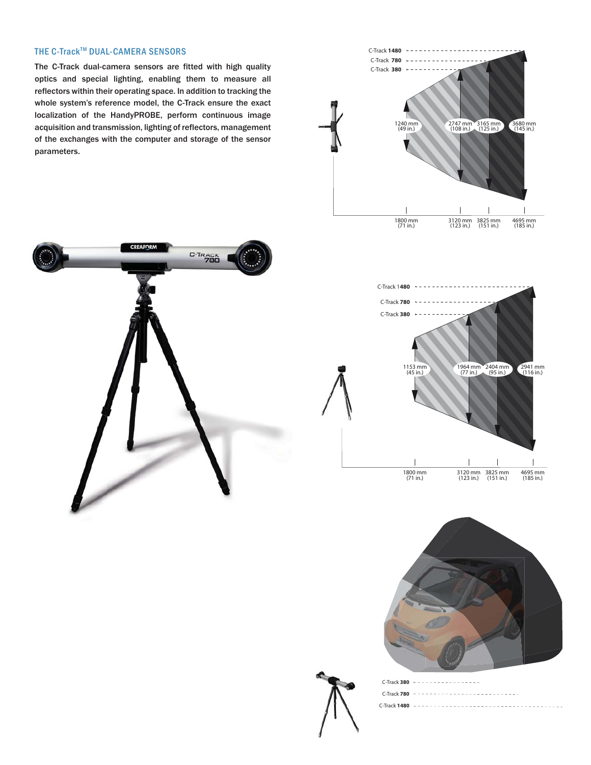## THE C-Track™ DUAL-CAMERA SENSORS

The C-Track dual-camera sensors are fitted with high quality optics and special lighting, enabling them to measure all reflectors within their operating space. In addition to tracking the whole system's reference model, the C-Track ensure the exact localization of the HandyPROBE, perform continuous image acquisition and transmission, lighting of reflectors, management of the exchanges with the computer and storage of the sensor parameters.









| $C$ -Track 380 $- - - - - - - - - - - - - - - -$ |  |                                          |  |
|--------------------------------------------------|--|------------------------------------------|--|
|                                                  |  | C-Track 780 ---------------------------- |  |
|                                                  |  |                                          |  |